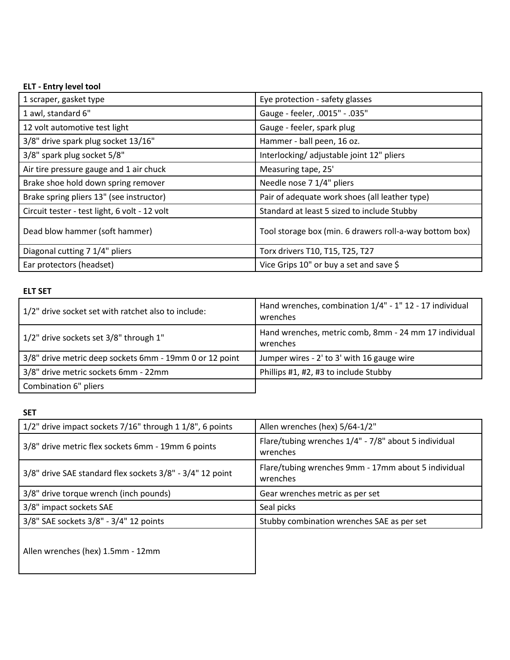## **ELT - Entry level tool**

| 1 scraper, gasket type                        | Eye protection - safety glasses                         |
|-----------------------------------------------|---------------------------------------------------------|
| 1 awl, standard 6"                            | Gauge - feeler, .0015" - .035"                          |
| 12 volt automotive test light                 | Gauge - feeler, spark plug                              |
| 3/8" drive spark plug socket 13/16"           | Hammer - ball peen, 16 oz.                              |
| 3/8" spark plug socket 5/8"                   | Interlocking/adjustable joint 12" pliers                |
| Air tire pressure gauge and 1 air chuck       | Measuring tape, 25'                                     |
| Brake shoe hold down spring remover           | Needle nose 7 1/4" pliers                               |
| Brake spring pliers 13" (see instructor)      | Pair of adequate work shoes (all leather type)          |
| Circuit tester - test light, 6 volt - 12 volt | Standard at least 5 sized to include Stubby             |
| Dead blow hammer (soft hammer)                | Tool storage box (min. 6 drawers roll-a-way bottom box) |
| Diagonal cutting 7 1/4" pliers                | Torx drivers T10, T15, T25, T27                         |
| Ear protectors (headset)                      | Vice Grips 10" or buy a set and save \$                 |

## **ELT SET**

| 1/2" drive socket set with ratchet also to include:     | Hand wrenches, combination 1/4" - 1" 12 - 17 individual<br>wrenches |
|---------------------------------------------------------|---------------------------------------------------------------------|
| 1/2" drive sockets set 3/8" through 1"                  | Hand wrenches, metric comb, 8mm - 24 mm 17 individual<br>wrenches   |
| 3/8" drive metric deep sockets 6mm - 19mm 0 or 12 point | Jumper wires - 2' to 3' with 16 gauge wire                          |
| 3/8" drive metric sockets 6mm - 22mm                    | Phillips #1, #2, #3 to include Stubby                               |
| Combination 6" pliers                                   |                                                                     |

**SET**

| 1/2" drive impact sockets 7/16" through 1 1/8", 6 points  | Allen wrenches (hex) 5/64-1/2"                                   |
|-----------------------------------------------------------|------------------------------------------------------------------|
| 3/8" drive metric flex sockets 6mm - 19mm 6 points        | Flare/tubing wrenches 1/4" - 7/8" about 5 individual<br>wrenches |
| 3/8" drive SAE standard flex sockets 3/8" - 3/4" 12 point | Flare/tubing wrenches 9mm - 17mm about 5 individual<br>wrenches  |
| 3/8" drive torque wrench (inch pounds)                    | Gear wrenches metric as per set                                  |
| 3/8" impact sockets SAE                                   | Seal picks                                                       |
| 3/8" SAE sockets 3/8" - 3/4" 12 points                    | Stubby combination wrenches SAE as per set                       |
| Allen wrenches (hex) 1.5mm - 12mm                         |                                                                  |